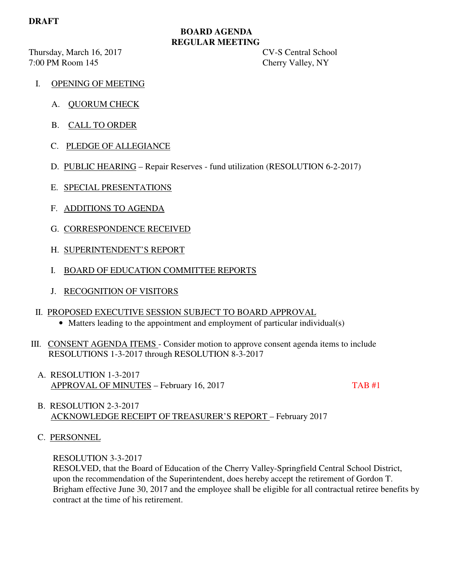#### **DRAFT**

 **BOARD AGENDA REGULAR MEETING**

Thursday, March 16, 2017 CV-S Central School 7:00 PM Room 145 Cherry Valley, NY

- I. OPENING OF MEETING
	- A. QUORUM CHECK
	- B. CALL TO ORDER
	- C. PLEDGE OF ALLEGIANCE
	- D. PUBLIC HEARING Repair Reserves fund utilization (RESOLUTION 6-2-2017)
	- E. SPECIAL PRESENTATIONS
	- F. ADDITIONS TO AGENDA
	- G. CORRESPONDENCE RECEIVED
	- H. SUPERINTENDENT'S REPORT
	- I. BOARD OF EDUCATION COMMITTEE REPORTS
	- J. RECOGNITION OF VISITORS
- II. PROPOSED EXECUTIVE SESSION SUBJECT TO BOARD APPROVAL
	- Matters leading to the appointment and employment of particular individual(s)
- III. CONSENT AGENDA ITEMS Consider motion to approve consent agenda items to include RESOLUTIONS 1-3-2017 through RESOLUTION 8-3-2017
	- A. RESOLUTION 1-3-2017 APPROVAL OF MINUTES – February 16, 2017 TAB #1

- B. RESOLUTION 2-3-2017 ACKNOWLEDGE RECEIPT OF TREASURER'S REPORT – February 2017
- C. PERSONNEL

RESOLUTION 3-3-2017

 RESOLVED, that the Board of Education of the Cherry Valley-Springfield Central School District, upon the recommendation of the Superintendent, does hereby accept the retirement of Gordon T. Brigham effective June 30, 2017 and the employee shall be eligible for all contractual retiree benefits by contract at the time of his retirement.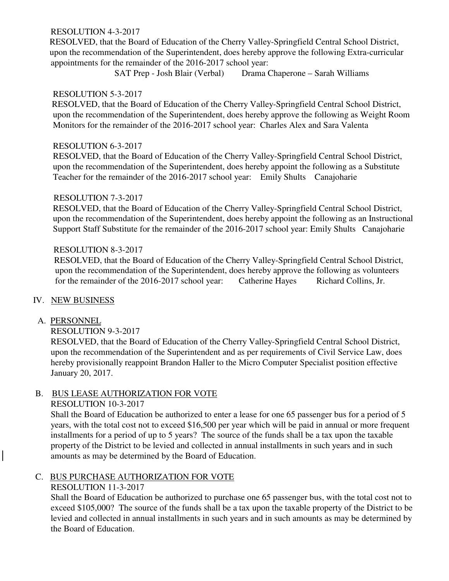#### RESOLUTION 4-3-2017

 RESOLVED, that the Board of Education of the Cherry Valley-Springfield Central School District, upon the recommendation of the Superintendent, does hereby approve the following Extra-curricular appointments for the remainder of the 2016-2017 school year:

SAT Prep - Josh Blair (Verbal) Drama Chaperone – Sarah Williams

#### RESOLUTION 5-3-2017

 RESOLVED, that the Board of Education of the Cherry Valley-Springfield Central School District, upon the recommendation of the Superintendent, does hereby approve the following as Weight Room Monitors for the remainder of the 2016-2017 school year: Charles Alex and Sara Valenta

#### RESOLUTION 6-3-2017

 RESOLVED, that the Board of Education of the Cherry Valley-Springfield Central School District, upon the recommendation of the Superintendent, does hereby appoint the following as a Substitute Teacher for the remainder of the 2016-2017 school year: Emily Shults Canajoharie

#### RESOLUTION 7-3-2017

 RESOLVED, that the Board of Education of the Cherry Valley-Springfield Central School District, upon the recommendation of the Superintendent, does hereby appoint the following as an Instructional Support Staff Substitute for the remainder of the 2016-2017 school year: Emily Shults Canajoharie

#### RESOLUTION 8-3-2017

 RESOLVED, that the Board of Education of the Cherry Valley-Springfield Central School District, upon the recommendation of the Superintendent, does hereby approve the following as volunteers for the remainder of the 2016-2017 school year: Catherine Hayes Richard Collins, Jr.

# IV. NEW BUSINESS

# A. PERSONNEL

#### RESOLUTION 9-3-2017

 RESOLVED, that the Board of Education of the Cherry Valley-Springfield Central School District, upon the recommendation of the Superintendent and as per requirements of Civil Service Law, does hereby provisionally reappoint Brandon Haller to the Micro Computer Specialist position effective January 20, 2017.

# B. BUS LEASE AUTHORIZATION FOR VOTE

#### RESOLUTION 10-3-2017

 Shall the Board of Education be authorized to enter a lease for one 65 passenger bus for a period of 5 years, with the total cost not to exceed \$16,500 per year which will be paid in annual or more frequent installments for a period of up to 5 years? The source of the funds shall be a tax upon the taxable property of the District to be levied and collected in annual installments in such years and in such amounts as may be determined by the Board of Education.

# C. BUS PURCHASE AUTHORIZATION FOR VOTE

# RESOLUTION 11-3-2017

 Shall the Board of Education be authorized to purchase one 65 passenger bus, with the total cost not to exceed \$105,000? The source of the funds shall be a tax upon the taxable property of the District to be levied and collected in annual installments in such years and in such amounts as may be determined by the Board of Education.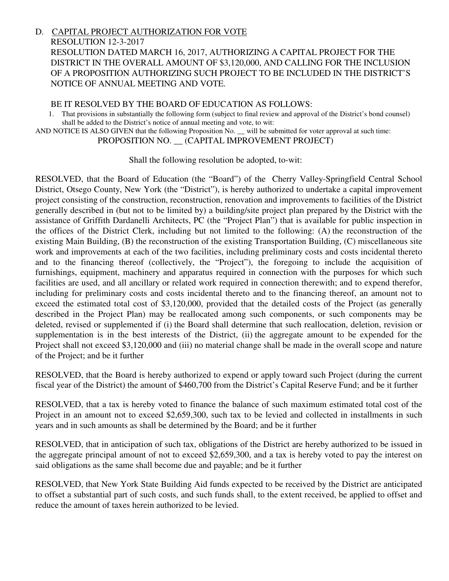# D. CAPITAL PROJECT AUTHORIZATION FOR VOTE RESOLUTION 12-3-2017 RESOLUTION DATED MARCH 16, 2017, AUTHORIZING A CAPITAL PROJECT FOR THE DISTRICT IN THE OVERALL AMOUNT OF \$3,120,000, AND CALLING FOR THE INCLUSION OF A PROPOSITION AUTHORIZING SUCH PROJECT TO BE INCLUDED IN THE DISTRICT'S NOTICE OF ANNUAL MEETING AND VOTE.

#### BE IT RESOLVED BY THE BOARD OF EDUCATION AS FOLLOWS:

1. That provisions in substantially the following form (subject to final review and approval of the District's bond counsel) shall be added to the District's notice of annual meeting and vote, to wit:

AND NOTICE IS ALSO GIVEN that the following Proposition No. \_\_ will be submitted for voter approval at such time:

PROPOSITION NO. (CAPITAL IMPROVEMENT PROJECT)

Shall the following resolution be adopted, to-wit:

RESOLVED, that the Board of Education (the "Board") of the Cherry Valley-Springfield Central School District, Otsego County, New York (the "District"), is hereby authorized to undertake a capital improvement project consisting of the construction, reconstruction, renovation and improvements to facilities of the District generally described in (but not to be limited by) a building/site project plan prepared by the District with the assistance of Griffith Dardanelli Architects, PC (the "Project Plan") that is available for public inspection in the offices of the District Clerk, including but not limited to the following: (A) the reconstruction of the existing Main Building, (B) the reconstruction of the existing Transportation Building, (C) miscellaneous site work and improvements at each of the two facilities, including preliminary costs and costs incidental thereto and to the financing thereof (collectively, the "Project"), the foregoing to include the acquisition of furnishings, equipment, machinery and apparatus required in connection with the purposes for which such facilities are used, and all ancillary or related work required in connection therewith; and to expend therefor, including for preliminary costs and costs incidental thereto and to the financing thereof, an amount not to exceed the estimated total cost of \$3,120,000, provided that the detailed costs of the Project (as generally described in the Project Plan) may be reallocated among such components, or such components may be deleted, revised or supplemented if (i) the Board shall determine that such reallocation, deletion, revision or supplementation is in the best interests of the District, (ii) the aggregate amount to be expended for the Project shall not exceed \$3,120,000 and (iii) no material change shall be made in the overall scope and nature of the Project; and be it further

RESOLVED, that the Board is hereby authorized to expend or apply toward such Project (during the current fiscal year of the District) the amount of \$460,700 from the District's Capital Reserve Fund; and be it further

RESOLVED, that a tax is hereby voted to finance the balance of such maximum estimated total cost of the Project in an amount not to exceed \$2,659,300, such tax to be levied and collected in installments in such years and in such amounts as shall be determined by the Board; and be it further

RESOLVED, that in anticipation of such tax, obligations of the District are hereby authorized to be issued in the aggregate principal amount of not to exceed \$2,659,300, and a tax is hereby voted to pay the interest on said obligations as the same shall become due and payable; and be it further

RESOLVED, that New York State Building Aid funds expected to be received by the District are anticipated to offset a substantial part of such costs, and such funds shall, to the extent received, be applied to offset and reduce the amount of taxes herein authorized to be levied.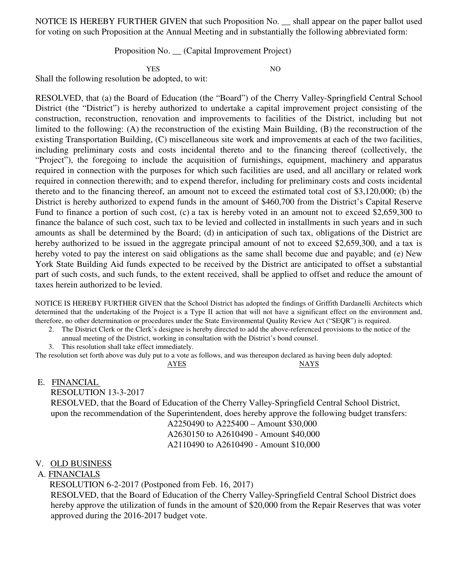NOTICE IS HEREBY FURTHER GIVEN that such Proposition No. \_\_ shall appear on the paper ballot used for voting on such Proposition at the Annual Meeting and in substantially the following abbreviated form:

Proposition No. \_\_ (Capital Improvement Project)

YES NO

Shall the following resolution be adopted, to wit:

 RESOLVED, that (a) the Board of Education (the "Board") of the Cherry Valley-Springfield Central School District (the "District") is hereby authorized to undertake a capital improvement project consisting of the construction, reconstruction, renovation and improvements to facilities of the District, including but not limited to the following: (A) the reconstruction of the existing Main Building, (B) the reconstruction of the existing Transportation Building, (C) miscellaneous site work and improvements at each of the two facilities, including preliminary costs and costs incidental thereto and to the financing thereof (collectively, the "Project"), the foregoing to include the acquisition of furnishings, equipment, machinery and apparatus required in connection with the purposes for which such facilities are used, and all ancillary or related work required in connection therewith; and to expend therefor, including for preliminary costs and costs incidental thereto and to the financing thereof, an amount not to exceed the estimated total cost of \$3,120,000; (b) the District is hereby authorized to expend funds in the amount of \$460,700 from the District's Capital Reserve Fund to finance a portion of such cost, (c) a tax is hereby voted in an amount not to exceed \$2,659,300 to finance the balance of such cost, such tax to be levied and collected in installments in such years and in such amounts as shall be determined by the Board; (d) in anticipation of such tax, obligations of the District are hereby authorized to be issued in the aggregate principal amount of not to exceed \$2,659,300, and a tax is hereby voted to pay the interest on said obligations as the same shall become due and payable; and (e) New York State Building Aid funds expected to be received by the District are anticipated to offset a substantial part of such costs, and such funds, to the extent received, shall be applied to offset and reduce the amount of taxes herein authorized to be levied.

NOTICE IS HEREBY FURTHER GIVEN that the School District has adopted the findings of Griffith Dardanelli Architects which determined that the undertaking of the Project is a Type II action that will not have a significant effect on the environment and, therefore, no other determination or procedures under the State Environmental Quality Review Act ("SEQR") is required.

- 2. The District Clerk or the Clerk's designee is hereby directed to add the above-referenced provisions to the notice of the annual meeting of the District, working in consultation with the District's bond counsel.
- 3. This resolution shall take effect immediately.

The resolution set forth above was duly put to a vote as follows, and was thereupon declared as having been duly adopted:

example and the set of the set of the set of the set of the set of the set of the set of the set of the set of the set of the set of the set of the set of the set of the set of the set of the set of the set of the set of t

E. FINANCIAL

RESOLUTION 13-3-2017

 RESOLVED, that the Board of Education of the Cherry Valley-Springfield Central School District, upon the recommendation of the Superintendent, does hereby approve the following budget transfers:

 A2250490 to A225400 – Amount \$30,000 A2630150 to A2610490 - Amount \$40,000 A2110490 to A2610490 - Amount \$10,000

#### V. OLD BUSINESS

# A. FINANCIALS

RESOLUTION 6-2-2017 (Postponed from Feb. 16, 2017)

 RESOLVED, that the Board of Education of the Cherry Valley-Springfield Central School District does hereby approve the utilization of funds in the amount of \$20,000 from the Repair Reserves that was voter approved during the 2016-2017 budget vote.